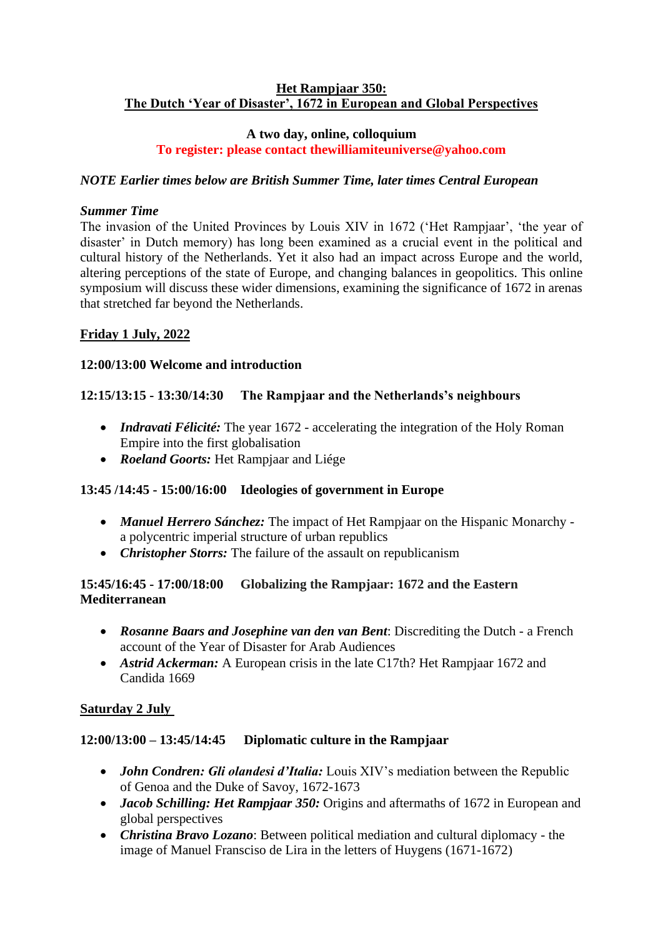#### **Het Rampjaar 350: The Dutch 'Year of Disaster', 1672 in European and Global Perspectives**

#### **A two day, online, colloquium To register: please contact thewilliamiteuniverse@yahoo.com**

## *NOTE Earlier times below are British Summer Time, later times Central European*

#### *Summer Time*

The invasion of the United Provinces by Louis XIV in 1672 ('Het Rampjaar', 'the year of disaster' in Dutch memory) has long been examined as a crucial event in the political and cultural history of the Netherlands. Yet it also had an impact across Europe and the world, altering perceptions of the state of Europe, and changing balances in geopolitics. This online symposium will discuss these wider dimensions, examining the significance of 1672 in arenas that stretched far beyond the Netherlands.

## **Friday 1 July, 2022**

#### **12:00/13:00 Welcome and introduction**

## **12:15/13:15 - 13:30/14:30 The Rampjaar and the Netherlands's neighbours**

- *Indravati Félicité:* The year 1672 accelerating the integration of the Holy Roman Empire into the first globalisation
- *Roeland Goorts:* Het Rampjaar and Liége

## **13:45 /14:45 - 15:00/16:00 Ideologies of government in Europe**

- *Manuel Herrero Sánchez:* The impact of Het Rampjaar on the Hispanic Monarchy a polycentric imperial structure of urban republics
- *Christopher Storrs:* The failure of the assault on republicanism

## **15:45/16:45 - 17:00/18:00 Globalizing the Rampjaar: 1672 and the Eastern Mediterranean**

- *Rosanne Baars and Josephine van den van Bent*: Discrediting the Dutch a French account of the Year of Disaster for Arab Audiences
- *Astrid Ackerman:* A European crisis in the late C17th? Het Rampjaar 1672 and Candida 1669

#### **Saturday 2 July**

## **12:00/13:00 – 13:45/14:45 Diplomatic culture in the Rampjaar**

- *John Condren: Gli olandesi d'Italia:* Louis XIV's mediation between the Republic of Genoa and the Duke of Savoy, 1672-1673
- *Jacob Schilling: Het Rampjaar 350:* Origins and aftermaths of 1672 in European and global perspectives
- *Christina Bravo Lozano*: Between political mediation and cultural diplomacy the image of Manuel Fransciso de Lira in the letters of Huygens (1671-1672)